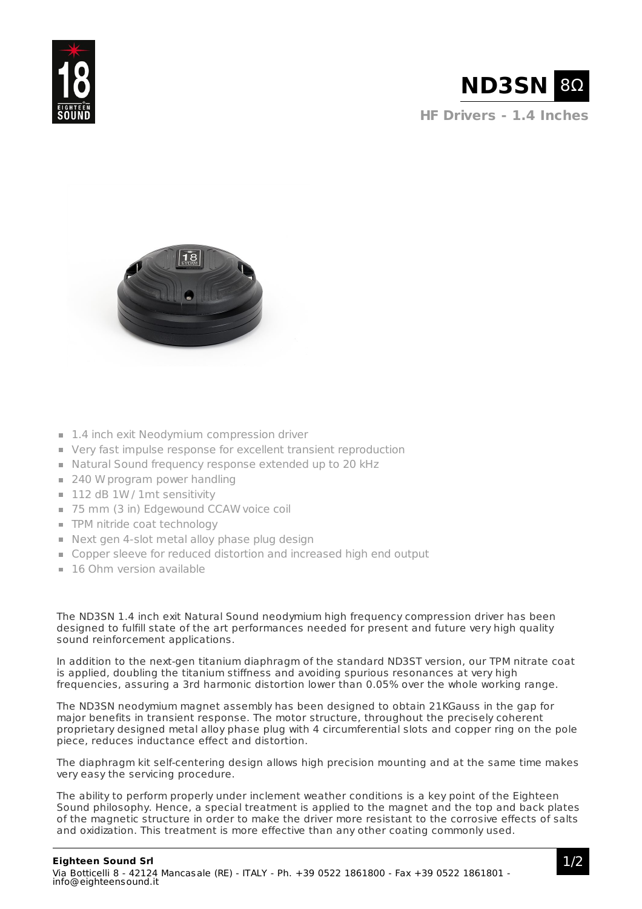



**HF Drivers - 1.4 Inches**



- 1.4 inch exit Neodymium compression driver
- Very fast impulse response for excellent transient reproduction
- Natural Sound frequency response extended up to 20 kHz
- $\equiv$  240 W program power handling
- 112 dB 1W / 1mt sensitivity
- 75 mm (3 in) Edgewound CCAW voice coil
- **TPM** nitride coat technology
- Next gen 4-slot metal alloy phase plug design
- Copper sleeve for reduced distortion and increased high end output
- **16 Ohm version available**

The ND3SN 1.4 inch exit Natural Sound neodymium high frequency compression driver has been designed to fulfill state of the art performances needed for present and future very high quality sound reinforcement applications.

In addition to the next-gen titanium diaphragm of the standard ND3ST version, our TPM nitrate coat is applied, doubling the titanium stiffness and avoiding spurious resonances at very high frequencies, assuring a 3rd harmonic distortion lower than 0.05% over the whole working range.

The ND3SN neodymium magnet assembly has been designed to obtain 21KGauss in the gap for major benefits in transient response. The motor structure, throughout the precisely coherent proprietary designed metal alloy phase plug with 4 circumferential slots and copper ring on the pole piece, reduces inductance effect and distortion.

The diaphragm kit self-centering design allows high precision mounting and at the same time makes very easy the servicing procedure.

The ability to perform properly under inclement weather conditions is a key point of the Eighteen Sound philosophy. Hence, a special treatment is applied to the magnet and the top and back plates of the magnetic structure in order to make the driver more resistant to the corrosive effects of salts and oxidization. This treatment is more effective than any other coating commonly used.